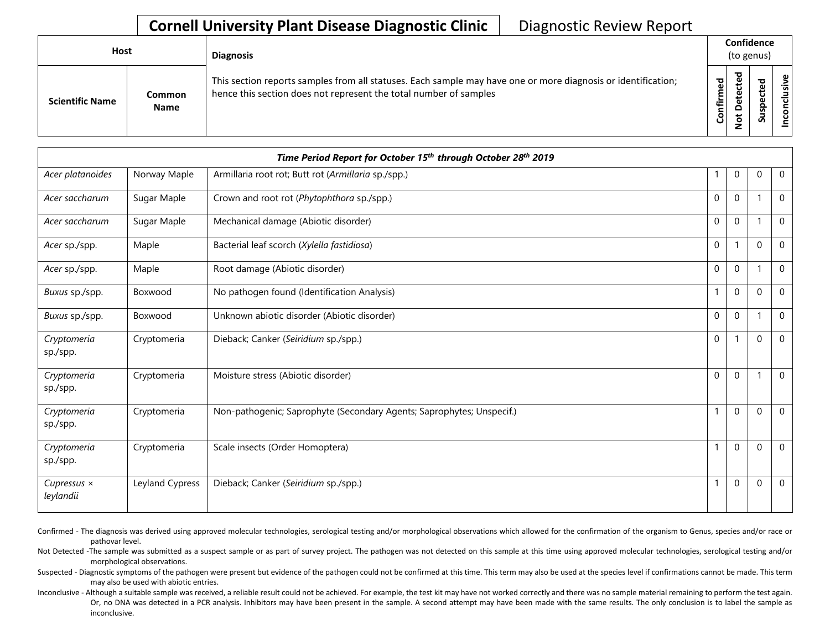| Host                   |                       | <b>Diagnosis</b>                                                                                                                                                                   |             |   | Confidence<br>(to genus) |  |
|------------------------|-----------------------|------------------------------------------------------------------------------------------------------------------------------------------------------------------------------------|-------------|---|--------------------------|--|
| <b>Scientific Name</b> | Common<br><b>Name</b> | This section reports samples from all statuses. Each sample may have one or more diagnosis or identification;<br>hence this section does not represent the total number of samples | ᇃ<br>⇐<br>ပ | ਠ | s<br>$\mathbf{v}$        |  |

|                                 |                 | Time Period Report for October 15 <sup>th</sup> through October 28 <sup>th</sup> 2019 |              |              |              |                |
|---------------------------------|-----------------|---------------------------------------------------------------------------------------|--------------|--------------|--------------|----------------|
| Acer platanoides                | Norway Maple    | Armillaria root rot; Butt rot (Armillaria sp./spp.)                                   | 1            | $\mathbf 0$  | 0            | $\mathbf 0$    |
| Acer saccharum                  | Sugar Maple     | Crown and root rot (Phytophthora sp./spp.)                                            | $\mathbf 0$  | $\mathbf 0$  | -1           | $\mathbf 0$    |
| Acer saccharum                  | Sugar Maple     | Mechanical damage (Abiotic disorder)                                                  | $\mathbf 0$  | $\mathbf 0$  |              | $\mathbf 0$    |
| Acer sp./spp.                   | Maple           | Bacterial leaf scorch (Xylella fastidiosa)                                            | $\mathbf 0$  | 1            | $\mathbf{0}$ | $\Omega$       |
| Acer sp./spp.                   | Maple           | Root damage (Abiotic disorder)                                                        | $\mathbf{0}$ | $\mathbf{0}$ | -1           | $\Omega$       |
| Buxus sp./spp.                  | Boxwood         | No pathogen found (Identification Analysis)                                           | $\mathbf{1}$ | $\mathbf 0$  | $\mathbf 0$  | $\mathbf 0$    |
| Buxus sp./spp.                  | Boxwood         | Unknown abiotic disorder (Abiotic disorder)                                           | $\mathbf 0$  | $\mathbf 0$  |              | $\Omega$       |
| Cryptomeria<br>sp./spp.         | Cryptomeria     | Dieback; Canker (Seiridium sp./spp.)                                                  | $\mathbf 0$  |              | $\mathbf{0}$ | $\mathbf 0$    |
| Cryptomeria<br>sp./spp.         | Cryptomeria     | Moisture stress (Abiotic disorder)                                                    | $\mathbf 0$  | $\mathbf 0$  |              | $\Omega$       |
| Cryptomeria<br>sp./spp.         | Cryptomeria     | Non-pathogenic; Saprophyte (Secondary Agents; Saprophytes; Unspecif.)                 | $\mathbf{1}$ | $\mathbf{0}$ | $\mathbf{0}$ | $\overline{0}$ |
| Cryptomeria<br>sp./spp.         | Cryptomeria     | Scale insects (Order Homoptera)                                                       | $\mathbf{1}$ | $\mathbf 0$  | $\mathbf{0}$ | $\mathbf 0$    |
| Cupressus $\times$<br>leylandii | Leyland Cypress | Dieback; Canker (Seiridium sp./spp.)                                                  | $\mathbf{1}$ | $\mathbf 0$  | $\Omega$     | $\mathbf 0$    |

Confirmed - The diagnosis was derived using approved molecular technologies, serological testing and/or morphological observations which allowed for the confirmation of the organism to Genus, species and/or race or pathovar level.

Not Detected -The sample was submitted as a suspect sample or as part of survey project. The pathogen was not detected on this sample at this time using approved molecular technologies, serological testing and/or morphological observations.

Suspected - Diagnostic symptoms of the pathogen were present but evidence of the pathogen could not be confirmed at this time. This term may also be used at the species level if confirmations cannot be made. This term may also be used with abiotic entries.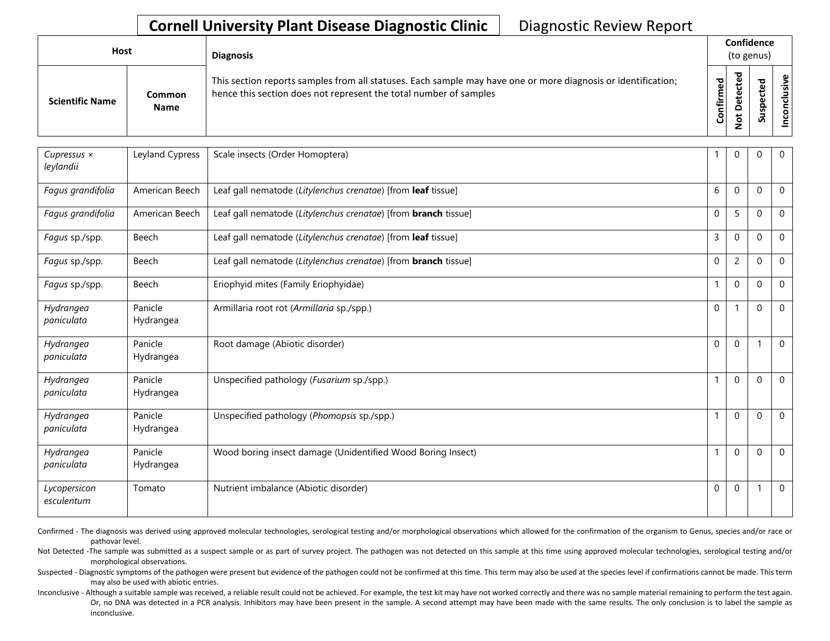| <b>Host</b>            |                       | <b>Diagnosis</b>                                                                                                                                                                   |               |                                  | Confidence<br>(to genus)        |      |
|------------------------|-----------------------|------------------------------------------------------------------------------------------------------------------------------------------------------------------------------------|---------------|----------------------------------|---------------------------------|------|
| <b>Scientific Name</b> | Common<br><b>Name</b> | This section reports samples from all statuses. Each sample may have one or more diagnosis or identification;<br>hence this section does not represent the total number of samples | ъ<br>Confirme | ᅙ<br>$\Omega$<br>سه<br>$\dot{S}$ | ъ<br>Φ<br>ω<br>௨<br>s<br>∍<br>S | sive |

| Cupressus ×<br>leylandii   | Leyland Cypress      | Scale insects (Order Homoptera)                                       |              | $\mathbf 0$    | $\Omega$ | $\mathbf 0$  |
|----------------------------|----------------------|-----------------------------------------------------------------------|--------------|----------------|----------|--------------|
| Fagus grandifolia          | American Beech       | Leaf gall nematode (Litylenchus crenatae) [from leaf tissue]          | 6            | $\Omega$       | $\Omega$ | $\mathbf{0}$ |
| Fagus grandifolia          | American Beech       | Leaf gall nematode (Litylenchus crenatae) [from <b>branch</b> tissue] | $\mathbf 0$  | 5              | $\Omega$ | $\mathbf 0$  |
| Fagus sp./spp.             | Beech                | Leaf gall nematode (Litylenchus crenatae) [from leaf tissue]          | 3            | $\Omega$       | $\Omega$ | $\mathbf{0}$ |
| Fagus sp./spp.             | Beech                | Leaf gall nematode (Litylenchus crenatae) [from <b>branch</b> tissue] | $\mathbf 0$  | $\overline{2}$ | $\Omega$ | $\mathbf 0$  |
| Fagus sp./spp.             | Beech                | Eriophyid mites (Family Eriophyidae)                                  |              | $\mathbf 0$    | $\Omega$ | $\mathbf 0$  |
| Hydrangea<br>paniculata    | Panicle<br>Hydrangea | Armillaria root rot (Armillaria sp./spp.)                             | $\mathbf 0$  |                | $\Omega$ | $\mathbf 0$  |
| Hydrangea<br>paniculata    | Panicle<br>Hydrangea | Root damage (Abiotic disorder)                                        | $\mathbf{0}$ | $\mathbf{0}$   |          | $\mathbf 0$  |
| Hydrangea<br>paniculata    | Panicle<br>Hydrangea | Unspecified pathology (Fusarium sp./spp.)                             |              | $\Omega$       | $\Omega$ | $\mathbf 0$  |
| Hydrangea<br>paniculata    | Panicle<br>Hydrangea | Unspecified pathology (Phomopsis sp./spp.)                            | $\mathbf{1}$ | $\Omega$       | $\Omega$ | $\Omega$     |
| Hydrangea<br>paniculata    | Panicle<br>Hydrangea | Wood boring insect damage (Unidentified Wood Boring Insect)           | 1            | $\mathbf{0}$   | $\Omega$ | $\mathbf 0$  |
| Lycopersicon<br>esculentum | Tomato               | Nutrient imbalance (Abiotic disorder)                                 | $\mathbf{0}$ | $\Omega$       |          | $\mathbf 0$  |

Confirmed - The diagnosis was derived using approved molecular technologies, serological testing and/or morphological observations which allowed for the confirmation of the organism to Genus, species and/or race or pathovar level.

Not Detected -The sample was submitted as a suspect sample or as part of survey project. The pathogen was not detected on this sample at this time using approved molecular technologies, serological testing and/or morphological observations.

Suspected - Diagnostic symptoms of the pathogen were present but evidence of the pathogen could not be confirmed at this time. This term may also be used at the species level if confirmations cannot be made. This term may also be used with abiotic entries.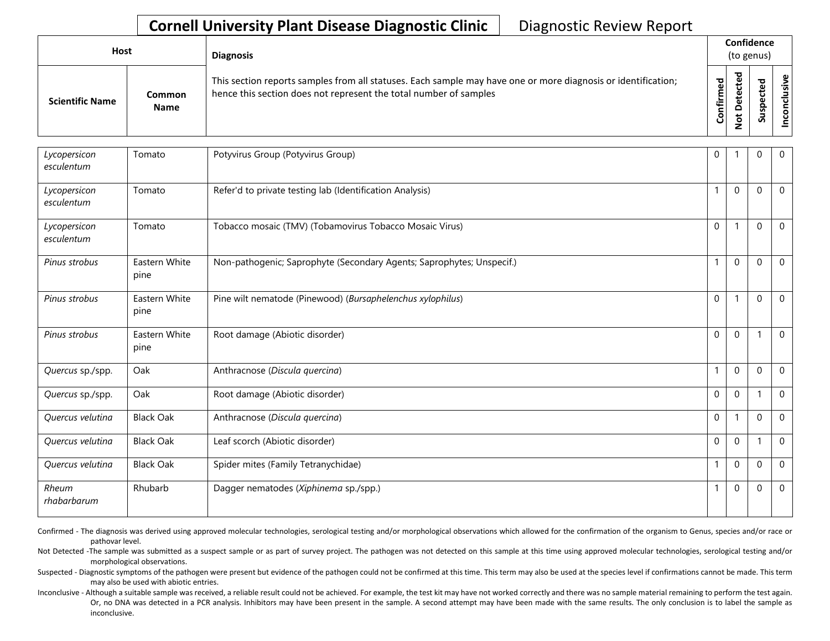| Host                   |                       | <b>Diagnosis</b>                                                                                                                                                                   |           |                                  | Confidence<br>(to genus) |  |
|------------------------|-----------------------|------------------------------------------------------------------------------------------------------------------------------------------------------------------------------------|-----------|----------------------------------|--------------------------|--|
| <b>Scientific Name</b> | Common<br><b>Name</b> | This section reports samples from all statuses. Each sample may have one or more diagnosis or identification;<br>hence this section does not represent the total number of samples | Confirmed | ᇴ<br>ပ<br>Φ<br>o<br>پ<br>$\circ$ | ᅙ<br>S<br>S              |  |

| Lycopersicon<br>esculentum | Tomato                | Potyvirus Group (Potyvirus Group)                                     | $\mathbf 0$  |                  | 0            | $\overline{0}$ |
|----------------------------|-----------------------|-----------------------------------------------------------------------|--------------|------------------|--------------|----------------|
| Lycopersicon<br>esculentum | Tomato                | Refer'd to private testing lab (Identification Analysis)              | $\mathbf{1}$ | $\mathbf{0}$     | $\mathbf{0}$ | $\Omega$       |
| Lycopersicon<br>esculentum | Tomato                | Tobacco mosaic (TMV) (Tobamovirus Tobacco Mosaic Virus)               | $\mathbf 0$  | 1                | $\Omega$     | $\overline{0}$ |
| Pinus strobus              | Eastern White<br>pine | Non-pathogenic; Saprophyte (Secondary Agents; Saprophytes; Unspecif.) | $\mathbf{1}$ | $\mathbf 0$      | $\mathbf{0}$ | $\mathbf 0$    |
| Pinus strobus              | Eastern White<br>pine | Pine wilt nematode (Pinewood) (Bursaphelenchus xylophilus)            | $\mathbf 0$  | 1                | $\mathbf{0}$ | $\Omega$       |
| Pinus strobus              | Eastern White<br>pine | Root damage (Abiotic disorder)                                        | $\mathbf 0$  | $\mathbf 0$      |              | $\overline{0}$ |
| Quercus sp./spp.           | Oak                   | Anthracnose (Discula quercina)                                        | $\mathbf{1}$ | $\boldsymbol{0}$ | $\mathbf{0}$ | $\mathbf 0$    |
| Quercus sp./spp.           | Oak                   | Root damage (Abiotic disorder)                                        | $\Omega$     | $\mathbf{0}$     | -1           | $\Omega$       |
| Quercus velutina           | <b>Black Oak</b>      | Anthracnose (Discula quercina)                                        | $\mathbf 0$  | 1                | $\mathbf{0}$ | $\Omega$       |
| Quercus velutina           | <b>Black Oak</b>      | Leaf scorch (Abiotic disorder)                                        | $\mathbf 0$  | $\mathbf 0$      | 1            | $\mathbf 0$    |
| Quercus velutina           | <b>Black Oak</b>      | Spider mites (Family Tetranychidae)                                   |              | $\Omega$         | $\Omega$     | $\Omega$       |
| Rheum<br>rhabarbarum       | Rhubarb               | Dagger nematodes (Xiphinema sp./spp.)                                 | $\mathbf{1}$ | $\mathbf 0$      | $\mathbf 0$  | $\mathbf 0$    |

Confirmed - The diagnosis was derived using approved molecular technologies, serological testing and/or morphological observations which allowed for the confirmation of the organism to Genus, species and/or race or pathovar level.

Not Detected -The sample was submitted as a suspect sample or as part of survey project. The pathogen was not detected on this sample at this time using approved molecular technologies, serological testing and/or morphological observations.

Suspected - Diagnostic symptoms of the pathogen were present but evidence of the pathogen could not be confirmed at this time. This term may also be used at the species level if confirmations cannot be made. This term may also be used with abiotic entries.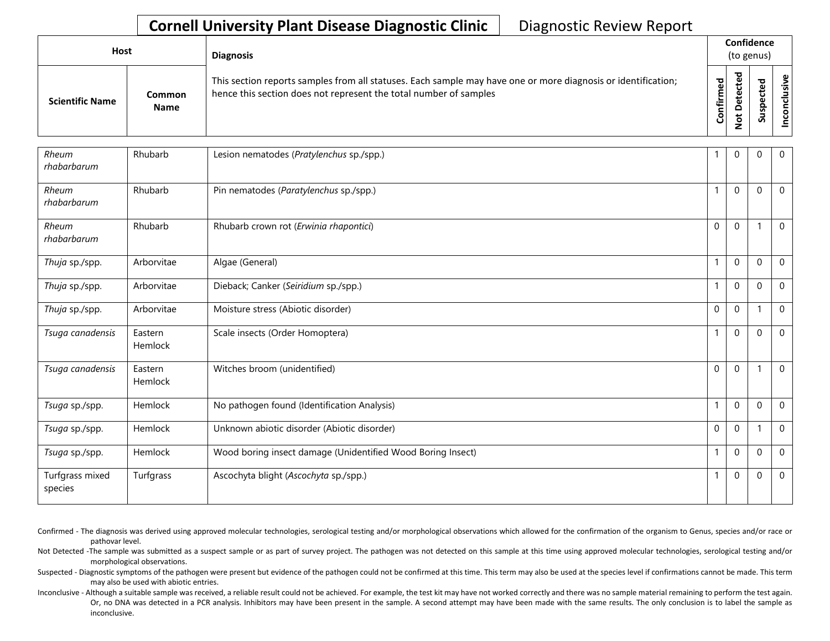| Host                   |                              | <b>Diagnosis</b>                                                                                                                                                                   |           |                                  | Confidence<br>(to genus) |       |
|------------------------|------------------------------|------------------------------------------------------------------------------------------------------------------------------------------------------------------------------------|-----------|----------------------------------|--------------------------|-------|
| <b>Scientific Name</b> | <b>Common</b><br><b>Name</b> | This section reports samples from all statuses. Each sample may have one or more diagnosis or identification;<br>hence this section does not represent the total number of samples | Confirmed | ᇴ<br>ں<br>Φ<br>c<br>پ<br>$\circ$ | ਠ<br>s<br>S              | usive |

| Rheum<br>rhabarbarum       | Rhubarb            | Lesion nematodes (Pratylenchus sp./spp.)                    |             | $\mathbf 0$      | 0            | $\mathbf 0$ |
|----------------------------|--------------------|-------------------------------------------------------------|-------------|------------------|--------------|-------------|
| Rheum<br>rhabarbarum       | Rhubarb            | Pin nematodes (Paratylenchus sp./spp.)                      |             | $\Omega$         | $\Omega$     | $\mathbf 0$ |
| Rheum<br>rhabarbarum       | Rhubarb            | Rhubarb crown rot (Erwinia rhapontici)                      | $\Omega$    | $\Omega$         |              | $\Omega$    |
| Thuja sp./spp.             | Arborvitae         | Algae (General)                                             | 1           | $\boldsymbol{0}$ | $\Omega$     | $\mathbf 0$ |
| Thuja sp./spp.             | Arborvitae         | Dieback; Canker (Seiridium sp./spp.)                        |             | $\Omega$         | $\Omega$     | $\mathbf 0$ |
| Thuja sp./spp.             | Arborvitae         | Moisture stress (Abiotic disorder)                          | $\mathbf 0$ | $\mathbf 0$      |              | $\mathbf 0$ |
| Tsuga canadensis           | Eastern<br>Hemlock | Scale insects (Order Homoptera)                             |             | $\mathbf{0}$     | $\mathbf{0}$ | $\Omega$    |
| Tsuga canadensis           | Eastern<br>Hemlock | Witches broom (unidentified)                                | $\Omega$    | $\Omega$         |              | $\mathbf 0$ |
| Tsuga sp./spp.             | Hemlock            | No pathogen found (Identification Analysis)                 |             | $\mathbf 0$      | $\mathbf{0}$ | $\mathbf 0$ |
| Tsuga sp./spp.             | Hemlock            | Unknown abiotic disorder (Abiotic disorder)                 | $\mathbf 0$ | $\mathbf 0$      |              | $\mathbf 0$ |
| Tsuga sp./spp.             | Hemlock            | Wood boring insect damage (Unidentified Wood Boring Insect) |             | $\Omega$         | $\Omega$     | $\mathbf 0$ |
| Turfgrass mixed<br>species | Turfgrass          | Ascochyta blight (Ascochyta sp./spp.)                       |             | $\mathbf 0$      | $\mathbf 0$  | $\mathbf 0$ |

Confirmed - The diagnosis was derived using approved molecular technologies, serological testing and/or morphological observations which allowed for the confirmation of the organism to Genus, species and/or race or pathovar level.

Not Detected -The sample was submitted as a suspect sample or as part of survey project. The pathogen was not detected on this sample at this time using approved molecular technologies, serological testing and/or morphological observations.

Suspected - Diagnostic symptoms of the pathogen were present but evidence of the pathogen could not be confirmed at this time. This term may also be used at the species level if confirmations cannot be made. This term may also be used with abiotic entries.